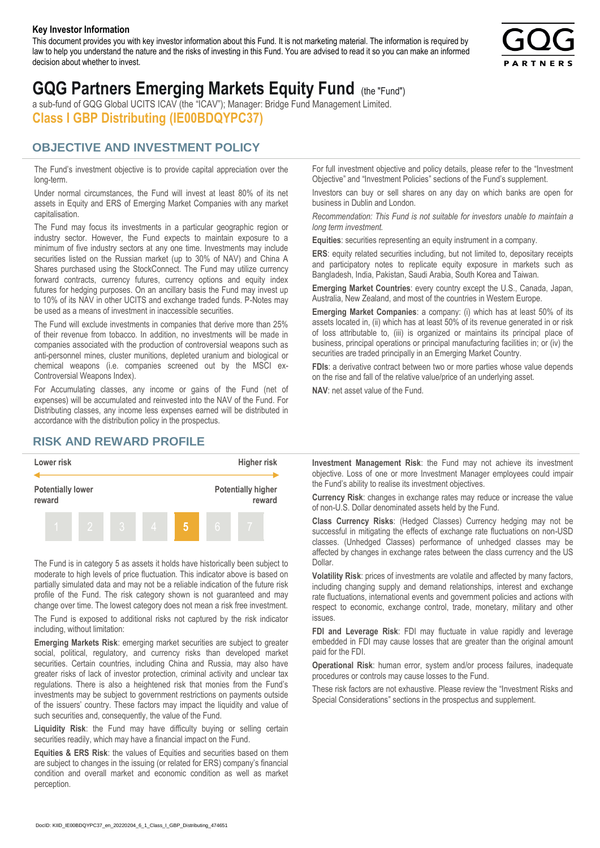#### **Key Investor Information**

This document provides you with key investor information about this Fund. It is not marketing material. The information is required by law to help you understand the nature and the risks of investing in this Fund. You are advised to read it so you can make an informed decision about whether to invest.



# **GQG Partners Emerging Markets Equity Fund** (the "Fund")

a sub-fund of GQG Global UCITS ICAV (the "ICAV"); Manager: Bridge Fund Management Limited. **Class I GBP Distributing (IE00BDQYPC37)**

### **OBJECTIVE AND INVESTMENT POLICY**

The Fund's investment objective is to provide capital appreciation over the long-term.

Under normal circumstances, the Fund will invest at least 80% of its net assets in Equity and ERS of Emerging Market Companies with any market capitalisation.

The Fund may focus its investments in a particular geographic region or industry sector. However, the Fund expects to maintain exposure to a minimum of five industry sectors at any one time. Investments may include securities listed on the Russian market (up to 30% of NAV) and China A Shares purchased using the StockConnect. The Fund may utilize currency forward contracts, currency futures, currency options and equity index futures for hedging purposes. On an ancillary basis the Fund may invest up to 10% of its NAV in other UCITS and exchange traded funds. P-Notes may be used as a means of investment in inaccessible securities.

The Fund will exclude investments in companies that derive more than 25% of their revenue from tobacco. In addition, no investments will be made in companies associated with the production of controversial weapons such as anti-personnel mines, cluster munitions, depleted uranium and biological or chemical weapons (i.e. companies screened out by the MSCI ex-Controversial Weapons Index).

For Accumulating classes, any income or gains of the Fund (net of expenses) will be accumulated and reinvested into the NAV of the Fund. For Distributing classes, any income less expenses earned will be distributed in accordance with the distribution policy in the prospectus.

## **RISK AND REWARD PROFILE**



The Fund is in category 5 as assets it holds have historically been subject to moderate to high levels of price fluctuation. This indicator above is based on partially simulated data and may not be a reliable indication of the future risk profile of the Fund. The risk category shown is not guaranteed and may change over time. The lowest category does not mean a risk free investment.

The Fund is exposed to additional risks not captured by the risk indicator including, without limitation:

**Emerging Markets Risk**: emerging market securities are subject to greater social, political, regulatory, and currency risks than developed market securities. Certain countries, including China and Russia, may also have greater risks of lack of investor protection, criminal activity and unclear tax regulations. There is also a heightened risk that monies from the Fund's investments may be subject to government restrictions on payments outside of the issuers' country. These factors may impact the liquidity and value of such securities and, consequently, the value of the Fund.

**Liquidity Risk**: the Fund may have difficulty buying or selling certain securities readily, which may have a financial impact on the Fund.

**Equities & ERS Risk**: the values of Equities and securities based on them are subject to changes in the issuing (or related for ERS) company's financial condition and overall market and economic condition as well as market perception.

For full investment objective and policy details, please refer to the "Investment Objective" and "Investment Policies" sections of the Fund's supplement.

Investors can buy or sell shares on any day on which banks are open for business in Dublin and London.

*Recommendation: This Fund is not suitable for investors unable to maintain a long term investment.*

**Equities**: securities representing an equity instrument in a company.

**ERS:** equity related securities including, but not limited to, depositary receipts and participatory notes to replicate equity exposure in markets such as Bangladesh, India, Pakistan, Saudi Arabia, South Korea and Taiwan.

**Emerging Market Countries**: every country except the U.S., Canada, Japan, Australia, New Zealand, and most of the countries in Western Europe.

**Emerging Market Companies**: a company: (i) which has at least 50% of its assets located in, (ii) which has at least 50% of its revenue generated in or risk of loss attributable to, (iii) is organized or maintains its principal place of business, principal operations or principal manufacturing facilities in; or (iv) the securities are traded principally in an Emerging Market Country.

**FDIs**: a derivative contract between two or more parties whose value depends on the rise and fall of the relative value/price of an underlying asset.

**NAV**: net asset value of the Fund.

**Investment Management Risk**: the Fund may not achieve its investment objective. Loss of one or more Investment Manager employees could impair the Fund's ability to realise its investment objectives.

**Currency Risk**: changes in exchange rates may reduce or increase the value of non-U.S. Dollar denominated assets held by the Fund.

**Class Currency Risks**: (Hedged Classes) Currency hedging may not be successful in mitigating the effects of exchange rate fluctuations on non-USD classes. (Unhedged Classes) performance of unhedged classes may be affected by changes in exchange rates between the class currency and the US Dollar.

**Volatility Risk**: prices of investments are volatile and affected by many factors, including changing supply and demand relationships, interest and exchange rate fluctuations, international events and government policies and actions with respect to economic, exchange control, trade, monetary, military and other issues.

**FDI and Leverage Risk**: FDI may fluctuate in value rapidly and leverage embedded in FDI may cause losses that are greater than the original amount paid for the FDI.

**Operational Risk**: human error, system and/or process failures, inadequate procedures or controls may cause losses to the Fund.

These risk factors are not exhaustive. Please review the "Investment Risks and Special Considerations" sections in the prospectus and supplement.